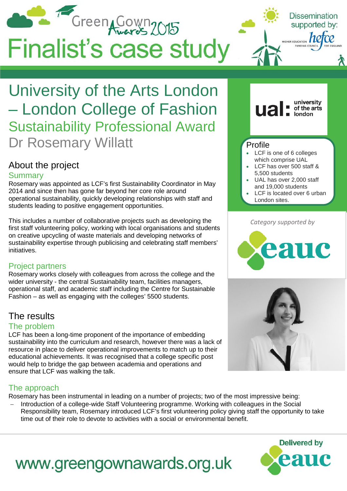

## University of the Arts London – London College of Fashion Sustainability Professional Award Dr Rosemary Willatt

### About the project

#### **Summary**

Rosemary was appointed as LCF's first Sustainability Coordinator in May 2014 and since then has gone far beyond her core role around operational sustainability, quickly developing relationships with staff and students leading to positive engagement opportunities.

This includes a number of collaborative projects such as developing the first staff volunteering policy, working with local organisations and students on creative upcycling of waste materials and developing networks of sustainability expertise through publicising and celebrating staff members' initiatives.

#### Project partners

Rosemary works closely with colleagues from across the college and the wider university - the central Sustainability team, facilities managers, operational staff, and academic staff including the Centre for Sustainable Fashion – as well as engaging with the colleges' 5500 students.

### The results

#### The problem

LCF has been a long-time proponent of the importance of embedding sustainability into the curriculum and research, however there was a lack of resource in place to deliver operational improvements to match up to their educational achievements. It was recognised that a college specific post would help to bridge the gap between academia and operations and ensure that LCF was walking the talk.

#### The approach

Rosemary has been instrumental in leading on a number of projects; two of the most impressive being:

Introduction of a college-wide Staff Volunteering programme. Working with colleagues in the Social Responsibility team, Rosemary introduced LCF's first volunteering policy giving staff the opportunity to take time out of their role to devote to activities with a social or environmental benefit.



# www.greengownawards.org.uk



**Ua** 

university

of the arts **london** 

- LCF has over 500 staff & 5,500 students
- UAL has over 2,000 staff and 19,000 students
- LCF is located over 6 urban London sites.

#### *Category supported by*



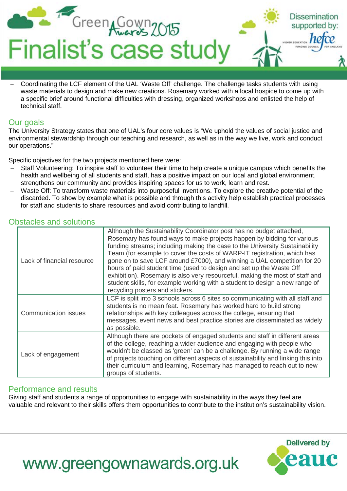

− Coordinating the LCF element of the UAL 'Waste Off' challenge. The challenge tasks students with using waste materials to design and make new creations. Rosemary worked with a local hospice to come up with a specific brief around functional difficulties with dressing, organized workshops and enlisted the help of technical staff.

#### Our goals

The University Strategy states that one of UAL's four core values is "We uphold the values of social justice and environmental stewardship through our teaching and research, as well as in the way we live, work and conduct our operations."

Specific objectives for the two projects mentioned here were:

- Staff Volunteering: To inspire staff to volunteer their time to help create a unique campus which benefits the health and wellbeing of all students and staff, has a positive impact on our local and global environment, strengthens our community and provides inspiring spaces for us to work, learn and rest.
- − Waste Off: To transform waste materials into purposeful inventions. To explore the creative potential of the discarded. To show by example what is possible and through this activity help establish practical processes for staff and students to share resources and avoid contributing to landfill.

#### Obstacles and solutions

| Lack of financial resource | Although the Sustainability Coordinator post has no budget attached,<br>Rosemary has found ways to make projects happen by bidding for various<br>funding streams; including making the case to the University Sustainability<br>Team (for example to cover the costs of WARP-IT registration, which has<br>gone on to save LCF around £7000), and winning a UAL competition for 20<br>hours of paid student time (used to design and set up the Waste Off<br>exhibition). Rosemary is also very resourceful, making the most of staff and<br>student skills, for example working with a student to design a new range of<br>recycling posters and stickers. |
|----------------------------|--------------------------------------------------------------------------------------------------------------------------------------------------------------------------------------------------------------------------------------------------------------------------------------------------------------------------------------------------------------------------------------------------------------------------------------------------------------------------------------------------------------------------------------------------------------------------------------------------------------------------------------------------------------|
| Communication issues       | LCF is split into 3 schools across 6 sites so communicating with all staff and<br>students is no mean feat. Rosemary has worked hard to build strong<br>relationships with key colleagues across the college, ensuring that<br>messages, event news and best practice stories are disseminated as widely<br>as possible.                                                                                                                                                                                                                                                                                                                                     |
| Lack of engagement         | Although there are pockets of engaged students and staff in different areas<br>of the college, reaching a wider audience and engaging with people who<br>wouldn't be classed as 'green' can be a challenge. By running a wide range<br>of projects touching on different aspects of sustainability and linking this into<br>their curriculum and learning, Rosemary has managed to reach out to new<br>groups of students.                                                                                                                                                                                                                                   |

#### Performance and results

Giving staff and students a range of opportunities to engage with sustainability in the ways they feel are valuable and relevant to their skills offers them opportunities to contribute to the institution's sustainability vision.



# www.greengownawards.org.uk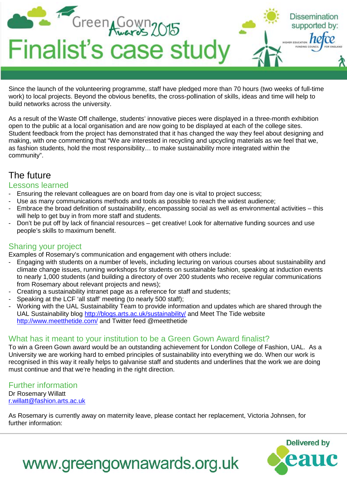

Since the launch of the volunteering programme, staff have pledged more than 70 hours (two weeks of full-time work) to local projects. Beyond the obvious benefits, the cross-pollination of skills, ideas and time will help to build networks across the university.

As a result of the Waste Off challenge, students' innovative pieces were displayed in a three-month exhibition open to the public at a local organisation and are now going to be displayed at each of the college sites. Student feedback from the project has demonstrated that it has changed the way they feel about designing and making, with one commenting that "We are interested in recycling and upcycling materials as we feel that we, as fashion students, hold the most responsibility… to make sustainability more integrated within the community".

### The future

#### Lessons learned

- Ensuring the relevant colleagues are on board from day one is vital to project success;
- Use as many communications methods and tools as possible to reach the widest audience;
- Embrace the broad definition of sustainability, encompassing social as well as environmental activities this will help to get buy in from more staff and students.
- Don't be put off by lack of financial resources get creative! Look for alternative funding sources and use people's skills to maximum benefit.

#### Sharing your project

Examples of Rosemary's communication and engagement with others include:

- Engaging with students on a number of levels, including lecturing on various courses about sustainability and climate change issues, running workshops for students on sustainable fashion, speaking at induction events to nearly 1,000 students (and building a directory of over 200 students who receive regular communications from Rosemary about relevant projects and news);
- Creating a sustainability intranet page as a reference for staff and students:
- Speaking at the LCF 'all staff' meeting (to nearly 500 staff);
- Working with the UAL Sustainability Team to provide information and updates which are shared through the UAL Sustainability blog<http://blogs.arts.ac.uk/sustainability/> and Meet The Tide website <http://www.meetthetide.com/> and Twitter feed @meetthetide

#### What has it meant to your institution to be a Green Gown Award finalist?

To win a Green Gown award would be an outstanding achievement for London College of Fashion, UAL. As a University we are working hard to embed principles of sustainability into everything we do. When our work is recognised in this way it really helps to galvanise staff and students and underlines that the work we are doing must continue and that we're heading in the right direction.

Further information Dr Rosemary Willatt

[r.willatt@fashion.arts.ac.uk](mailto:r.willatt@fashion.arts.ac.uk)

As Rosemary is currently away on maternity leave, please contact her replacement, Victoria Johnsen, for further information:



## www.greengownawards.org.uk